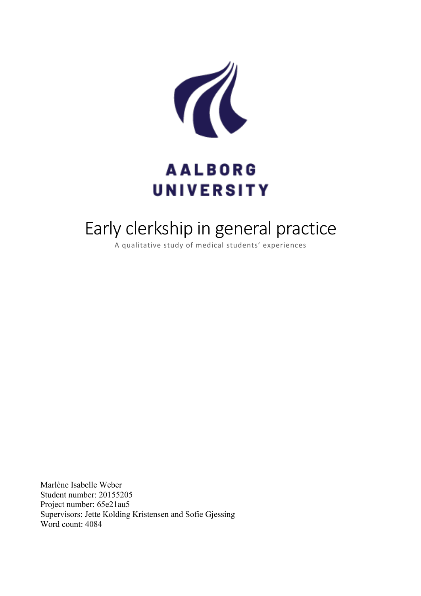

# **AALBORG UNIVERSITY**

# Early clerkship in general practice

A qualitative study of medical students' experiences

Marlène Isabelle Weber Student number: 20155205 Project number: 65e21au5 Supervisors: Jette Kolding Kristensen and Sofie Gjessing Word count: 4084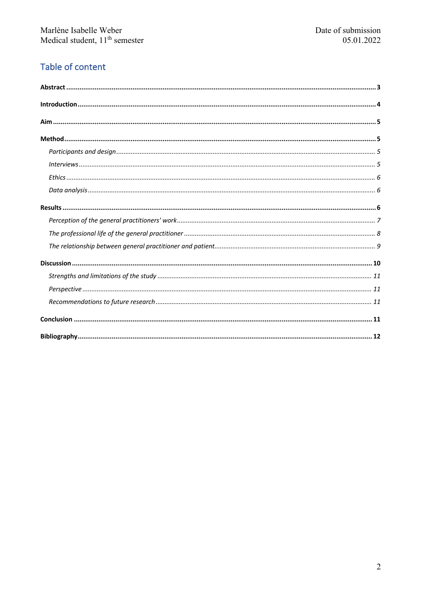# Table of content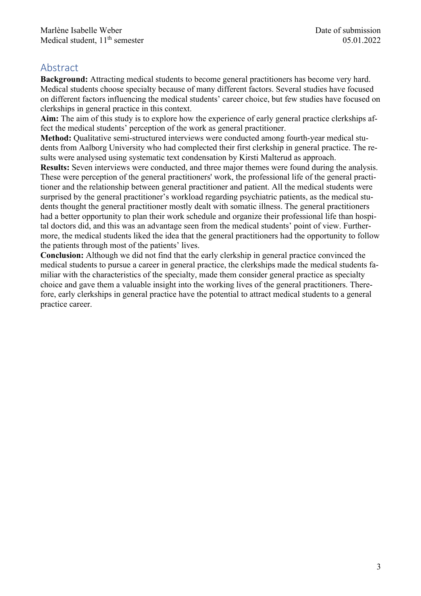# Abstract

**Background:** Attracting medical students to become general practitioners has become very hard. Medical students choose specialty because of many different factors. Several studies have focused on different factors influencing the medical students' career choice, but few studies have focused on clerkships in general practice in this context.

**Aim:** The aim of this study is to explore how the experience of early general practice clerkships affect the medical students' perception of the work as general practitioner.

**Method:** Qualitative semi-structured interviews were conducted among fourth-year medical students from Aalborg University who had complected their first clerkship in general practice. The results were analysed using systematic text condensation by Kirsti Malterud as approach.

**Results:** Seven interviews were conducted, and three major themes were found during the analysis. These were perception of the general practitioners' work, the professional life of the general practitioner and the relationship between general practitioner and patient. All the medical students were surprised by the general practitioner's workload regarding psychiatric patients, as the medical students thought the general practitioner mostly dealt with somatic illness. The general practitioners had a better opportunity to plan their work schedule and organize their professional life than hospital doctors did, and this was an advantage seen from the medical students' point of view. Furthermore, the medical students liked the idea that the general practitioners had the opportunity to follow the patients through most of the patients' lives.

**Conclusion:** Although we did not find that the early clerkship in general practice convinced the medical students to pursue a career in general practice, the clerkships made the medical students familiar with the characteristics of the specialty, made them consider general practice as specialty choice and gave them a valuable insight into the working lives of the general practitioners. Therefore, early clerkships in general practice have the potential to attract medical students to a general practice career.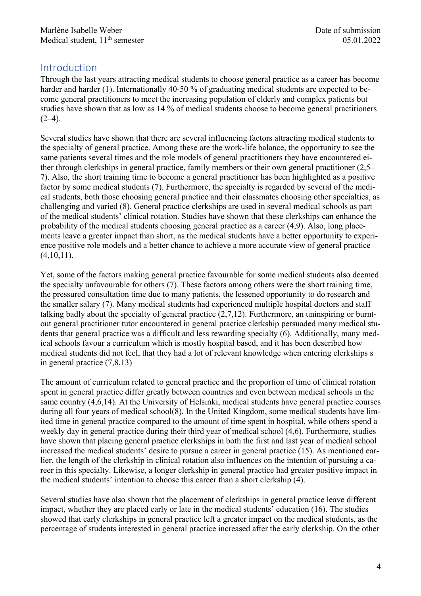# Introduction

Through the last years attracting medical students to choose general practice as a career has become harder and harder (1). Internationally 40-50 % of graduating medical students are expected to become general practitioners to meet the increasing population of elderly and complex patients but studies have shown that as low as 14 % of medical students choose to become general practitioners  $(2-4)$ .

Several studies have shown that there are several influencing factors attracting medical students to the specialty of general practice. Among these are the work-life balance, the opportunity to see the same patients several times and the role models of general practitioners they have encountered either through clerkships in general practice, family members or their own general practitioner (2,5– 7). Also, the short training time to become a general practitioner has been highlighted as a positive factor by some medical students (7). Furthermore, the specialty is regarded by several of the medical students, both those choosing general practice and their classmates choosing other specialties, as challenging and varied (8). General practice clerkships are used in several medical schools as part of the medical students' clinical rotation. Studies have shown that these clerkships can enhance the probability of the medical students choosing general practice as a career (4,9). Also, long placements leave a greater impact than short, as the medical students have a better opportunity to experience positive role models and a better chance to achieve a more accurate view of general practice  $(4,10,11)$ .

Yet, some of the factors making general practice favourable for some medical students also deemed the specialty unfavourable for others (7). These factors among others were the short training time, the pressured consultation time due to many patients, the lessened opportunity to do research and the smaller salary (7). Many medical students had experienced multiple hospital doctors and staff talking badly about the specialty of general practice (2,7,12). Furthermore, an uninspiring or burntout general practitioner tutor encountered in general practice clerkship persuaded many medical students that general practice was a difficult and less rewarding specialty (6). Additionally, many medical schools favour a curriculum which is mostly hospital based, and it has been described how medical students did not feel, that they had a lot of relevant knowledge when entering clerkships s in general practice (7,8,13)

The amount of curriculum related to general practice and the proportion of time of clinical rotation spent in general practice differ greatly between countries and even between medical schools in the same country (4,6,14). At the University of Helsinki, medical students have general practice courses during all four years of medical school(8). In the United Kingdom, some medical students have limited time in general practice compared to the amount of time spent in hospital, while others spend a weekly day in general practice during their third year of medical school (4,6). Furthermore, studies have shown that placing general practice clerkships in both the first and last year of medical school increased the medical students' desire to pursue a career in general practice (15). As mentioned earlier, the length of the clerkship in clinical rotation also influences on the intention of pursuing a career in this specialty. Likewise, a longer clerkship in general practice had greater positive impact in the medical students' intention to choose this career than a short clerkship (4).

Several studies have also shown that the placement of clerkships in general practice leave different impact, whether they are placed early or late in the medical students' education (16). The studies showed that early clerkships in general practice left a greater impact on the medical students, as the percentage of students interested in general practice increased after the early clerkship. On the other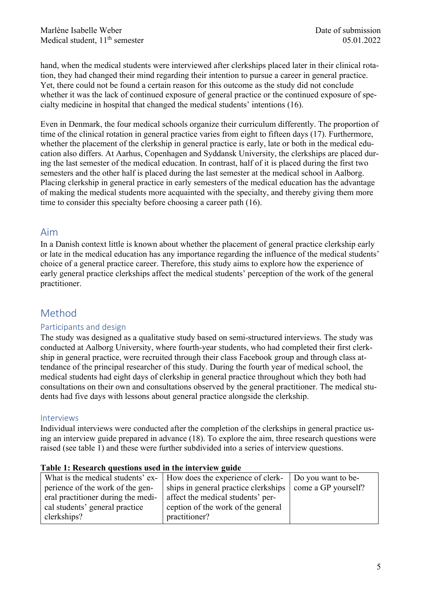hand, when the medical students were interviewed after clerkships placed later in their clinical rotation, they had changed their mind regarding their intention to pursue a career in general practice. Yet, there could not be found a certain reason for this outcome as the study did not conclude whether it was the lack of continued exposure of general practice or the continued exposure of specialty medicine in hospital that changed the medical students' intentions (16).

Even in Denmark, the four medical schools organize their curriculum differently. The proportion of time of the clinical rotation in general practice varies from eight to fifteen days (17). Furthermore, whether the placement of the clerkship in general practice is early, late or both in the medical education also differs. At Aarhus, Copenhagen and Syddansk University, the clerkships are placed during the last semester of the medical education. In contrast, half of it is placed during the first two semesters and the other half is placed during the last semester at the medical school in Aalborg. Placing clerkship in general practice in early semesters of the medical education has the advantage of making the medical students more acquainted with the specialty, and thereby giving them more time to consider this specialty before choosing a career path (16).

## Aim

In a Danish context little is known about whether the placement of general practice clerkship early or late in the medical education has any importance regarding the influence of the medical students' choice of a general practice career. Therefore, this study aims to explore how the experience of early general practice clerkships affect the medical students' perception of the work of the general practitioner.

## Method

#### Participants and design

The study was designed as a qualitative study based on semi-structured interviews. The study was conducted at Aalborg University, where fourth-year students, who had completed their first clerkship in general practice, were recruited through their class Facebook group and through class attendance of the principal researcher of this study. During the fourth year of medical school, the medical students had eight days of clerkship in general practice throughout which they both had consultations on their own and consultations observed by the general practitioner. The medical students had five days with lessons about general practice alongside the clerkship.

#### Interviews

Individual interviews were conducted after the completion of the clerkships in general practice using an interview guide prepared in advance (18). To explore the aim, three research questions were raised (see table 1) and these were further subdivided into a series of interview questions.

| What is the medical students' ex-  | How does the experience of clerk- Do you want to be-       |  |  |  |
|------------------------------------|------------------------------------------------------------|--|--|--|
| perience of the work of the gen-   | ships in general practice clerkships   come a GP yourself? |  |  |  |
| eral practitioner during the medi- | affect the medical students' per-                          |  |  |  |
| cal students' general practice     | ception of the work of the general                         |  |  |  |
| clerkships?                        | practitioner?                                              |  |  |  |

#### **Table 1: Research questions used in the interview guide**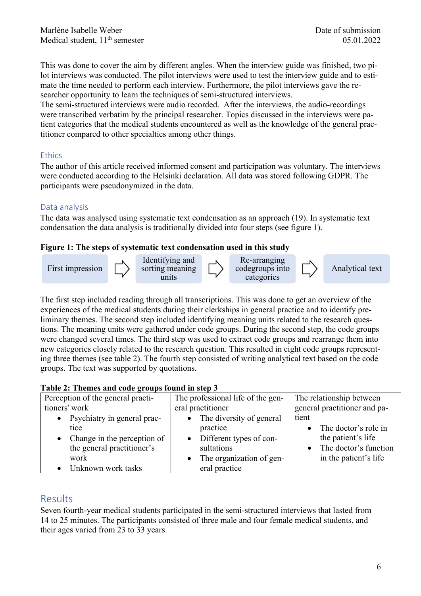This was done to cover the aim by different angles. When the interview guide was finished, two pilot interviews was conducted. The pilot interviews were used to test the interview guide and to estimate the time needed to perform each interview. Furthermore, the pilot interviews gave the researcher opportunity to learn the techniques of semi-structured interviews.

The semi-structured interviews were audio recorded. After the interviews, the audio-recordings were transcribed verbatim by the principal researcher. Topics discussed in the interviews were patient categories that the medical students encountered as well as the knowledge of the general practitioner compared to other specialties among other things.

## **Ethics**

The author of this article received informed consent and participation was voluntary. The interviews were conducted according to the Helsinki declaration. All data was stored following GDPR. The participants were pseudonymized in the data.

## Data analysis

The data was analysed using systematic text condensation as an approach (19). In systematic text condensation the data analysis is traditionally divided into four steps (see figure 1).

## **Figure 1: The steps of systematic text condensation used in this study**



The first step included reading through all transcriptions. This was done to get an overview of the experiences of the medical students during their clerkships in general practice and to identify preliminary themes. The second step included identifying meaning units related to the research questions. The meaning units were gathered under code groups. During the second step, the code groups were changed several times. The third step was used to extract code groups and rearrange them into new categories closely related to the research question. This resulted in eight code groups representing three themes (see table 2). The fourth step consisted of writing analytical text based on the code groups. The text was supported by quotations.

#### **Table 2: Themes and code groups found in step 3**

| Perception of the general practi- | The professional life of the gen- | The relationship between     |  |  |
|-----------------------------------|-----------------------------------|------------------------------|--|--|
| tioners' work                     | eral practitioner                 | general practitioner and pa- |  |  |
| • Psychiatry in general prac-     | The diversity of general          | tient                        |  |  |
| tice                              | practice                          | • The doctor's role in       |  |  |
| • Change in the perception of     | Different types of con-           | the patient's life           |  |  |
| the general practitioner's        | sultations                        | The doctor's function        |  |  |
| work                              | The organization of gen-          | in the patient's life        |  |  |
| Unknown work tasks                | eral practice                     |                              |  |  |

## Results

Seven fourth-year medical students participated in the semi-structured interviews that lasted from 14 to 25 minutes. The participants consisted of three male and four female medical students, and their ages varied from 23 to 33 years.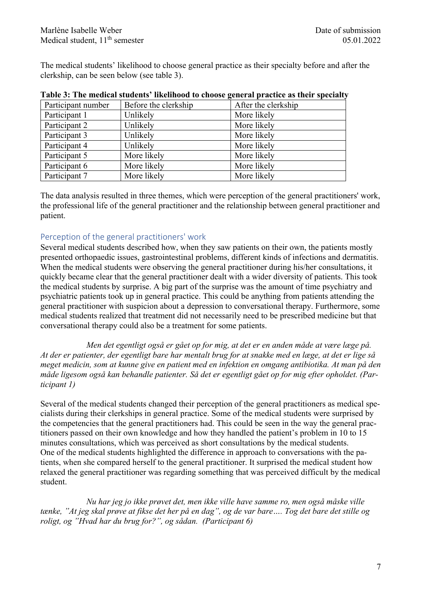The medical students' likelihood to choose general practice as their specialty before and after the clerkship, can be seen below (see table 3).

| Participant number           | Before the clerkship | After the clerkship |  |  |
|------------------------------|----------------------|---------------------|--|--|
| Participant 1                | Unlikely             | More likely         |  |  |
| Participant 2                | Unlikely             | More likely         |  |  |
| Participant 3                | Unlikely             | More likely         |  |  |
| Participant 4                | Unlikely             | More likely         |  |  |
| Participant 5                | More likely          | More likely         |  |  |
| Participant 6                | More likely          | More likely         |  |  |
| Participant 7<br>More likely |                      | More likely         |  |  |

| Table 3: The medical students' likelihood to choose general practice as their specialty |  |  |  |  |
|-----------------------------------------------------------------------------------------|--|--|--|--|
|                                                                                         |  |  |  |  |

The data analysis resulted in three themes, which were perception of the general practitioners' work, the professional life of the general practitioner and the relationship between general practitioner and patient.

#### Perception of the general practitioners' work

Several medical students described how, when they saw patients on their own, the patients mostly presented orthopaedic issues, gastrointestinal problems, different kinds of infections and dermatitis. When the medical students were observing the general practitioner during his/her consultations, it quickly became clear that the general practitioner dealt with a wider diversity of patients. This took the medical students by surprise. A big part of the surprise was the amount of time psychiatry and psychiatric patients took up in general practice. This could be anything from patients attending the general practitioner with suspicion about a depression to conversational therapy. Furthermore, some medical students realized that treatment did not necessarily need to be prescribed medicine but that conversational therapy could also be a treatment for some patients.

*Men det egentligt også er gået op for mig, at det er en anden måde at være læge på. At der er patienter, der egentligt bare har mentalt brug for at snakke med en læge, at det er lige så meget medicin, som at kunne give en patient med en infektion en omgang antibiotika. At man på den måde ligesom også kan behandle patienter. Så det er egentligt gået op for mig efter opholdet. (Participant 1)*

Several of the medical students changed their perception of the general practitioners as medical specialists during their clerkships in general practice. Some of the medical students were surprised by the competencies that the general practitioners had. This could be seen in the way the general practitioners passed on their own knowledge and how they handled the patient's problem in 10 to 15 minutes consultations, which was perceived as short consultations by the medical students. One of the medical students highlighted the difference in approach to conversations with the patients, when she compared herself to the general practitioner. It surprised the medical student how relaxed the general practitioner was regarding something that was perceived difficult by the medical student.

*Nu har jeg jo ikke prøvet det, men ikke ville have samme ro, men også måske ville tænke, "At jeg skal prøve at fikse det her på en dag", og de var bare…. Tog det bare det stille og roligt, og "Hvad har du brug for?", og sådan. (Participant 6)*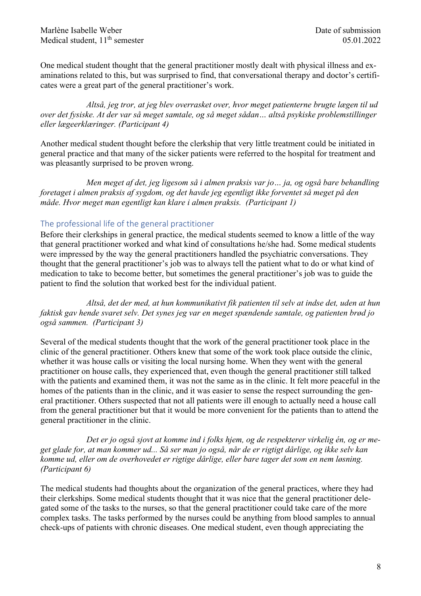Marlène Isabelle Weber **Date of submission** Medical student,  $11<sup>th</sup>$  semester 05.01.2022

One medical student thought that the general practitioner mostly dealt with physical illness and examinations related to this, but was surprised to find, that conversational therapy and doctor's certificates were a great part of the general practitioner's work.

*Altså, jeg tror, at jeg blev overrasket over, hvor meget patienterne brugte lægen til ud over det fysiske. At der var så meget samtale, og så meget sådan… altså psykiske problemstillinger eller lægeerklæringer. (Participant 4)*

Another medical student thought before the clerkship that very little treatment could be initiated in general practice and that many of the sicker patients were referred to the hospital for treatment and was pleasantly surprised to be proven wrong.

*Men meget af det, jeg ligesom så i almen praksis var jo… ja, og også bare behandling foretaget i almen praksis af sygdom, og det havde jeg egentligt ikke forventet så meget på den måde. Hvor meget man egentligt kan klare i almen praksis. (Participant 1)*

#### The professional life of the general practitioner

Before their clerkships in general practice, the medical students seemed to know a little of the way that general practitioner worked and what kind of consultations he/she had. Some medical students were impressed by the way the general practitioners handled the psychiatric conversations. They thought that the general practitioner's job was to always tell the patient what to do or what kind of medication to take to become better, but sometimes the general practitioner's job was to guide the patient to find the solution that worked best for the individual patient.

*Altså, det der med, at hun kommunikativt fik patienten til selv at indse det, uden at hun faktisk gav hende svaret selv. Det synes jeg var en meget spændende samtale, og patienten brød jo også sammen. (Participant 3)*

Several of the medical students thought that the work of the general practitioner took place in the clinic of the general practitioner. Others knew that some of the work took place outside the clinic, whether it was house calls or visiting the local nursing home. When they went with the general practitioner on house calls, they experienced that, even though the general practitioner still talked with the patients and examined them, it was not the same as in the clinic. It felt more peaceful in the homes of the patients than in the clinic, and it was easier to sense the respect surrounding the general practitioner. Others suspected that not all patients were ill enough to actually need a house call from the general practitioner but that it would be more convenient for the patients than to attend the general practitioner in the clinic.

*Det er jo også sjovt at komme ind i folks hjem, og de respekterer virkelig én, og er meget glade for, at man kommer ud... Så ser man jo også, når de er rigtigt dårlige, og ikke selv kan komme ud, eller om de overhovedet er rigtige dårlige, eller bare tager det som en nem løsning. (Participant 6)*

The medical students had thoughts about the organization of the general practices, where they had their clerkships. Some medical students thought that it was nice that the general practitioner delegated some of the tasks to the nurses, so that the general practitioner could take care of the more complex tasks. The tasks performed by the nurses could be anything from blood samples to annual check-ups of patients with chronic diseases. One medical student, even though appreciating the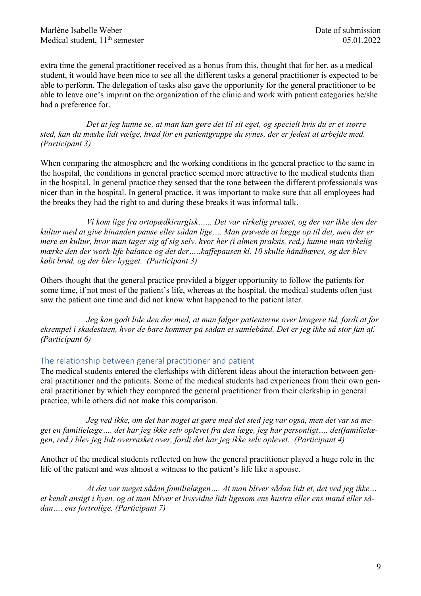extra time the general practitioner received as a bonus from this, thought that for her, as a medical student, it would have been nice to see all the different tasks a general practitioner is expected to be able to perform. The delegation of tasks also gave the opportunity for the general practitioner to be able to leave one's imprint on the organization of the clinic and work with patient categories he/she had a preference for.

*Det at jeg kunne se, at man kan gøre det til sit eget, og specielt hvis du er et større sted, kan du måske lidt vælge, hvad for en patientgruppe du synes, der er fedest at arbejde med. (Participant 3)*

When comparing the atmosphere and the working conditions in the general practice to the same in the hospital, the conditions in general practice seemed more attractive to the medical students than in the hospital. In general practice they sensed that the tone between the different professionals was nicer than in the hospital. In general practice, it was important to make sure that all employees had the breaks they had the right to and during these breaks it was informal talk.

*Vi kom lige fra ortopædkirurgisk…... Det var virkelig presset, og der var ikke den der kultur med at give hinanden pause eller sådan lige…. Man prøvede at lægge op til det, men der er mere en kultur, hvor man tager sig af sig selv, hvor her (i almen praksis, red.) kunne man virkelig mærke den der work-life balance og det der…..kaffepausen kl. 10 skulle håndhæves, og der blev købt brød, og der blev hygget. (Participant 3)*

Others thought that the general practice provided a bigger opportunity to follow the patients for some time, if not most of the patient's life, whereas at the hospital, the medical students often just saw the patient one time and did not know what happened to the patient later.

*Jeg kan godt lide den der med, at man følger patienterne over længere tid, fordi at for eksempel i skadestuen, hvor de bare kommer på sådan et samlebånd. Det er jeg ikke så stor fan af. (Participant 6)*

## The relationship between general practitioner and patient

The medical students entered the clerkships with different ideas about the interaction between general practitioner and the patients. Some of the medical students had experiences from their own general practitioner by which they compared the general practitioner from their clerkship in general practice, while others did not make this comparison.

*Jeg ved ikke, om det har noget at gøre med det sted jeg var også, men det var så meget en familielæge…. det har jeg ikke selv oplevet fra den læge, jeg har personligt…. det(familielægen, red.) blev jeg lidt overrasket over, fordi det har jeg ikke selv oplevet. (Participant 4)*

Another of the medical students reflected on how the general practitioner played a huge role in the life of the patient and was almost a witness to the patient's life like a spouse.

*At det var meget sådan familielægen…. At man bliver sådan lidt et, det ved jeg ikke… et kendt ansigt i byen, og at man bliver et livsvidne lidt ligesom ens hustru eller ens mand eller sådan…. ens fortrolige. (Participant 7)*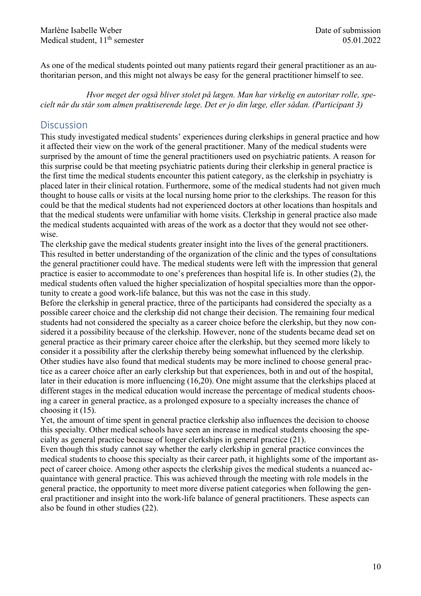Marlène Isabelle Weber **Date of submission** Medical student,  $11<sup>th</sup>$  semester 05.01.2022

As one of the medical students pointed out many patients regard their general practitioner as an authoritarian person, and this might not always be easy for the general practitioner himself to see.

*Hvor meget der også bliver stolet på lægen. Man har virkelig en autoritær rolle, specielt når du står som almen praktiserende læge. Det er jo din læge, eller sådan. (Participant 3)*

## **Discussion**

This study investigated medical students' experiences during clerkships in general practice and how it affected their view on the work of the general practitioner. Many of the medical students were surprised by the amount of time the general practitioners used on psychiatric patients. A reason for this surprise could be that meeting psychiatric patients during their clerkship in general practice is the first time the medical students encounter this patient category, as the clerkship in psychiatry is placed later in their clinical rotation. Furthermore, some of the medical students had not given much thought to house calls or visits at the local nursing home prior to the clerkships. The reason for this could be that the medical students had not experienced doctors at other locations than hospitals and that the medical students were unfamiliar with home visits. Clerkship in general practice also made the medical students acquainted with areas of the work as a doctor that they would not see otherwise.

The clerkship gave the medical students greater insight into the lives of the general practitioners. This resulted in better understanding of the organization of the clinic and the types of consultations the general practitioner could have. The medical students were left with the impression that general practice is easier to accommodate to one's preferences than hospital life is. In other studies (2), the medical students often valued the higher specialization of hospital specialties more than the opportunity to create a good work-life balance, but this was not the case in this study.

Before the clerkship in general practice, three of the participants had considered the specialty as a possible career choice and the clerkship did not change their decision. The remaining four medical students had not considered the specialty as a career choice before the clerkship, but they now considered it a possibility because of the clerkship. However, none of the students became dead set on general practice as their primary career choice after the clerkship, but they seemed more likely to consider it a possibility after the clerkship thereby being somewhat influenced by the clerkship. Other studies have also found that medical students may be more inclined to choose general practice as a career choice after an early clerkship but that experiences, both in and out of the hospital, later in their education is more influencing (16,20). One might assume that the clerkships placed at different stages in the medical education would increase the percentage of medical students choosing a career in general practice, as a prolonged exposure to a specialty increases the chance of choosing it (15).

Yet, the amount of time spent in general practice clerkship also influences the decision to choose this specialty. Other medical schools have seen an increase in medical students choosing the specialty as general practice because of longer clerkships in general practice (21).

Even though this study cannot say whether the early clerkship in general practice convinces the medical students to choose this specialty as their career path, it highlights some of the important aspect of career choice. Among other aspects the clerkship gives the medical students a nuanced acquaintance with general practice. This was achieved through the meeting with role models in the general practice, the opportunity to meet more diverse patient categories when following the general practitioner and insight into the work-life balance of general practitioners. These aspects can also be found in other studies (22).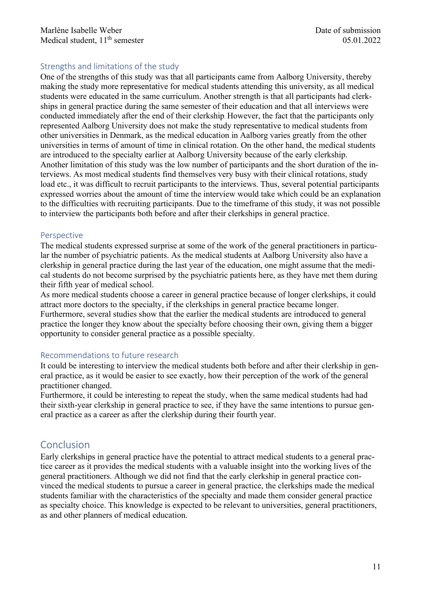#### Strengths and limitations of the study

One of the strengths of this study was that all participants came from Aalborg University, thereby making the study more representative for medical students attending this university, as all medical students were educated in the same curriculum. Another strength is that all participants had clerkships in general practice during the same semester of their education and that all interviews were conducted immediately after the end of their clerkship. However, the fact that the participants only represented Aalborg University does not make the study representative to medical students from other universities in Denmark, as the medical education in Aalborg varies greatly from the other universities in terms of amount of time in clinical rotation. On the other hand, the medical students are introduced to the specialty earlier at Aalborg University because of the early clerkship. Another limitation of this study was the low number of participants and the short duration of the interviews. As most medical students find themselves very busy with their clinical rotations, study load etc., it was difficult to recruit participants to the interviews. Thus, several potential participants expressed worries about the amount of time the interview would take which could be an explanation to the difficulties with recruiting participants. Due to the timeframe of this study, it was not possible to interview the participants both before and after their clerkships in general practice.

#### Perspective

The medical students expressed surprise at some of the work of the general practitioners in particular the number of psychiatric patients. As the medical students at Aalborg University also have a clerkship in general practice during the last year of the education, one might assume that the medical students do not become surprised by the psychiatric patients here, as they have met them during their fifth year of medical school.

As more medical students choose a career in general practice because of longer clerkships, it could attract more doctors to the specialty, if the clerkships in general practice became longer. Furthermore, several studies show that the earlier the medical students are introduced to general practice the longer they know about the specialty before choosing their own, giving them a bigger opportunity to consider general practice as a possible specialty.

#### Recommendations to future research

It could be interesting to interview the medical students both before and after their clerkship in general practice, as it would be easier to see exactly, how their perception of the work of the general practitioner changed.

Furthermore, it could be interesting to repeat the study, when the same medical students had had their sixth-year clerkship in general practice to see, if they have the same intentions to pursue general practice as a career as after the clerkship during their fourth year.

# Conclusion

Early clerkships in general practice have the potential to attract medical students to a general practice career as it provides the medical students with a valuable insight into the working lives of the general practitioners. Although we did not find that the early clerkship in general practice convinced the medical students to pursue a career in general practice, the clerkships made the medical students familiar with the characteristics of the specialty and made them consider general practice as specialty choice. This knowledge is expected to be relevant to universities, general practitioners, as and other planners of medical education.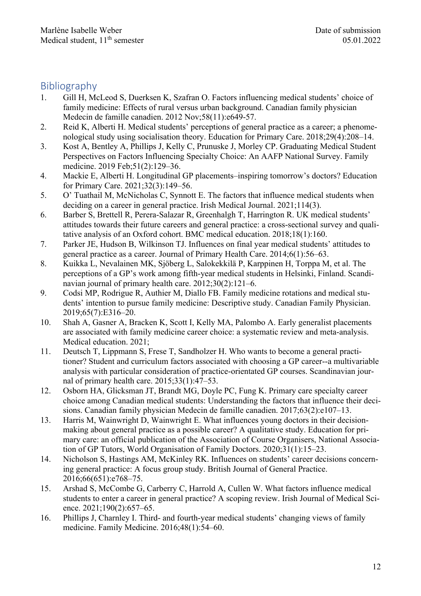## Bibliography

- 1. Gill H, McLeod S, Duerksen K, Szafran O. Factors influencing medical students' choice of family medicine: Effects of rural versus urban background. Canadian family physician Medecin de famille canadien. 2012 Nov;58(11):e649-57.
- 2. Reid K, Alberti H. Medical students' perceptions of general practice as a career; a phenomenological study using socialisation theory. Education for Primary Care. 2018;29(4):208–14.
- 3. Kost A, Bentley A, Phillips J, Kelly C, Prunuske J, Morley CP. Graduating Medical Student Perspectives on Factors Influencing Specialty Choice: An AAFP National Survey. Family medicine. 2019 Feb;51(2):129–36.
- 4. Mackie E, Alberti H. Longitudinal GP placements–inspiring tomorrow's doctors? Education for Primary Care. 2021;32(3):149–56.
- 5. O' Tuathail M, McNicholas C, Synnott E. The factors that influence medical students when deciding on a career in general practice. Irish Medical Journal. 2021;114(3).
- 6. Barber S, Brettell R, Perera-Salazar R, Greenhalgh T, Harrington R. UK medical students' attitudes towards their future careers and general practice: a cross-sectional survey and qualitative analysis of an Oxford cohort. BMC medical education. 2018;18(1):160.
- 7. Parker JE, Hudson B, Wilkinson TJ. Influences on final year medical students' attitudes to general practice as a career. Journal of Primary Health Care. 2014;6(1):56–63.
- 8. Kuikka L, Nevalainen MK, Sjöberg L, Salokekkilä P, Karppinen H, Torppa M, et al. The perceptions of a GP's work among fifth-year medical students in Helsinki, Finland. Scandinavian journal of primary health care. 2012;30(2):121–6.
- 9. Codsi MP, Rodrigue R, Authier M, Diallo FB. Family medicine rotations and medical students' intention to pursue family medicine: Descriptive study. Canadian Family Physician. 2019;65(7):E316–20.
- 10. Shah A, Gasner A, Bracken K, Scott I, Kelly MA, Palombo A. Early generalist placements are associated with family medicine career choice: a systematic review and meta-analysis. Medical education. 2021;
- 11. Deutsch T, Lippmann S, Frese T, Sandholzer H. Who wants to become a general practitioner? Student and curriculum factors associated with choosing a GP career--a multivariable analysis with particular consideration of practice-orientated GP courses. Scandinavian journal of primary health care. 2015;33(1):47–53.
- 12. Osborn HA, Glicksman JT, Brandt MG, Doyle PC, Fung K. Primary care specialty career choice among Canadian medical students: Understanding the factors that influence their decisions. Canadian family physician Medecin de famille canadien. 2017;63(2):e107–13.
- 13. Harris M, Wainwright D, Wainwright E. What influences young doctors in their decisionmaking about general practice as a possible career? A qualitative study. Education for primary care: an official publication of the Association of Course Organisers, National Association of GP Tutors, World Organisation of Family Doctors. 2020;31(1):15–23.
- 14. Nicholson S, Hastings AM, McKinley RK. Influences on students' career decisions concerning general practice: A focus group study. British Journal of General Practice. 2016;66(651):e768–75.
- 15. Arshad S, McCombe G, Carberry C, Harrold A, Cullen W. What factors influence medical students to enter a career in general practice? A scoping review. Irish Journal of Medical Science. 2021;190(2):657–65.
- 16. Phillips J, Charnley I. Third- and fourth-year medical students' changing views of family medicine. Family Medicine. 2016;48(1):54–60.